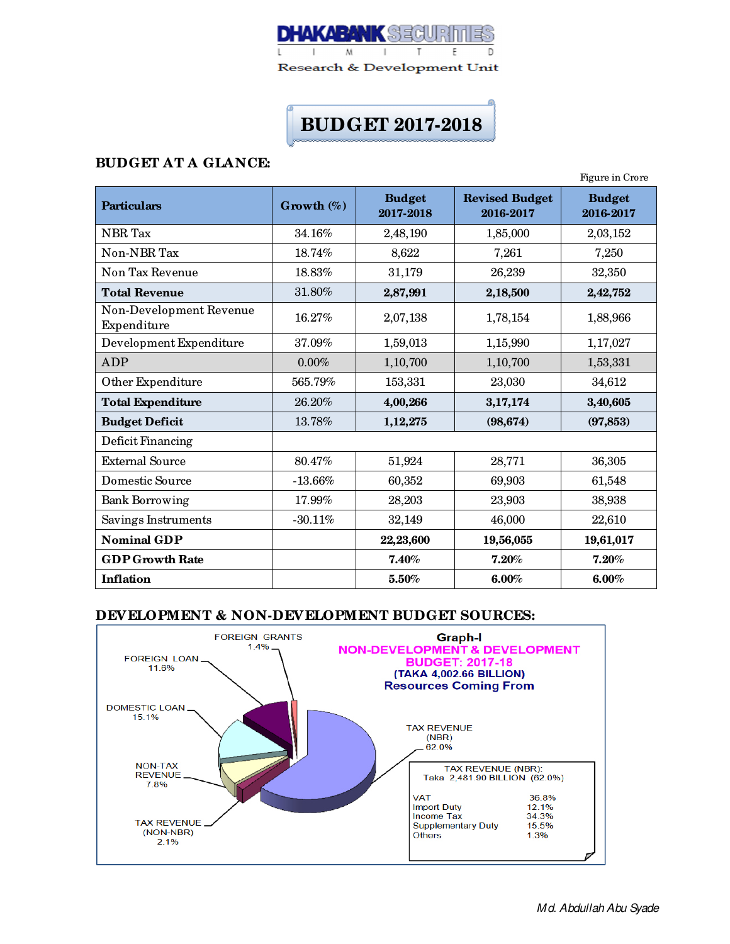

# **BUDGET 2017-2018**

# **BUDGET AT A GLANCE:**

|                                        |               |                            |                                    | Figure in Crore            |
|----------------------------------------|---------------|----------------------------|------------------------------------|----------------------------|
| <b>Particulars</b>                     | Growth $(\%)$ | <b>Budget</b><br>2017-2018 | <b>Revised Budget</b><br>2016-2017 | <b>Budget</b><br>2016-2017 |
| NBR Tax                                | 34.16%        | 2,48,190                   | 1,85,000                           | 2,03,152                   |
| Non-NBR Tax                            | 18.74%        | 8,622                      | 7,261                              | 7,250                      |
| Non Tax Revenue                        | 18.83%        | 31,179                     | 26,239                             | 32,350                     |
| <b>Total Revenue</b>                   | 31.80%        | 2,87,991                   | 2,18,500                           | 2,42,752                   |
| Non-Development Revenue<br>Expenditure | 16.27%        | 2,07,138                   | 1,78,154                           | 1,88,966                   |
| Development Expenditure                | 37.09%        | 1,59,013                   | 1,15,990                           | 1,17,027                   |
| <b>ADP</b>                             | 0.00%         | 1,10,700                   | 1,10,700                           | 1,53,331                   |
| Other Expenditure                      | 565.79%       | 153,331                    | 23,030                             | 34,612                     |
| <b>Total Expenditure</b>               | 26.20%        | 4,00,266                   | 3,17,174                           | 3,40,605                   |
| <b>Budget Deficit</b>                  | 13.78%        | 1,12,275                   | (98, 674)                          | (97, 853)                  |
| Deficit Financing                      |               |                            |                                    |                            |
| <b>External Source</b>                 | 80.47%        | 51,924                     | 28,771                             | 36,305                     |
| Domestic Source                        | $-13.66%$     | 60,352                     | 69,903                             | 61,548                     |
| <b>Bank Borrowing</b>                  | 17.99%        | 28,203                     | 23,903                             | 38,938                     |
| Savings Instruments                    | $-30.11%$     | 32,149                     | 46,000                             | 22,610                     |
| <b>Nominal GDP</b>                     |               | 22,23,600                  | 19,56,055                          | 19,61,017                  |
| <b>GDP Growth Rate</b>                 |               | 7.40%                      | 7.20%                              | 7.20%                      |
| Inflation                              |               | 5.50%                      | 6.00%                              | 6.00%                      |

#### **DEVELOPMENT & NON-DEVELOPMENT BUDGET SOURCES:**

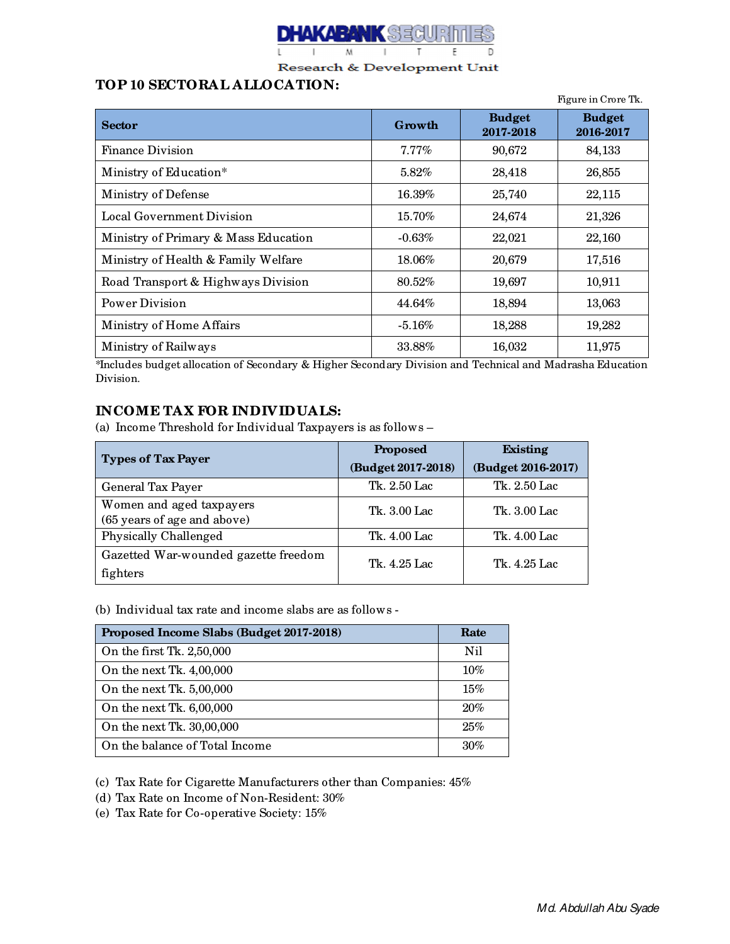

## **TOP 10 SECTORAL ALLOCATION:**

|                                      |           |                            | Figure in Crore Tk.        |
|--------------------------------------|-----------|----------------------------|----------------------------|
| <b>Sector</b>                        | Growth    | <b>Budget</b><br>2017-2018 | <b>Budget</b><br>2016-2017 |
| <b>Finance Division</b>              | $7.77\%$  | 90,672                     | 84,133                     |
| Ministry of Education*               | 5.82%     | 28,418                     | 26,855                     |
| Ministry of Defense                  | 16.39%    | 25,740                     | 22,115                     |
| <b>Local Government Division</b>     | 15.70%    | 24,674                     | 21,326                     |
| Ministry of Primary & Mass Education | $-0.63%$  | 22,021                     | 22,160                     |
| Ministry of Health & Family Welfare  | 18.06%    | 20,679                     | 17,516                     |
| Road Transport & Highways Division   | 80.52%    | 19,697                     | 10,911                     |
| Power Division                       | 44.64%    | 18,894                     | 13,063                     |
| Ministry of Home Affairs             | $-5.16\%$ | 18,288                     | 19,282                     |
| Ministry of Railways                 | 33.88%    | 16,032                     | 11,975                     |

\*Includes budget allocation of Secondary & Higher Secondary Division and Technical and Madrasha Education Division.

# **INCOME TAX FOR INDIVIDUALS:**

(a) Income Threshold for Individual Taxpayers is as follows –

| <b>Types of Tax Payer</b>            | <b>Proposed</b>    | <b>Existing</b>    |  |
|--------------------------------------|--------------------|--------------------|--|
|                                      | (Budget 2017-2018) | (Budget 2016-2017) |  |
| General Tax Payer                    | Tk. 2.50 Lac       | Tk. 2.50 Lac       |  |
| Women and aged taxpayers             | Tk. 3.00 Lac       | Tk. 3.00 Lac       |  |
| (65 years of age and above)          |                    |                    |  |
| Physically Challenged                | Tk. 4.00 Lac       | Tk. 4.00 Lac       |  |
| Gazetted War-wounded gazette freedom | Tk. 4.25 Lac.      | Tk. 4.25 Lac       |  |
| fighters                             |                    |                    |  |

(b) Individual tax rate and income slabs are as follows -

| Proposed Income Slabs (Budget 2017-2018) | Rate |
|------------------------------------------|------|
| On the first Tk. 2,50,000                | Nil  |
| On the next Tk. 4,00,000                 | 10%  |
| On the next Tk. 5,00,000                 | 15%  |
| On the next Tk. 6,00,000                 | 20%  |
| On the next Tk. 30,00,000                | 25%  |
| On the balance of Total Income           | 30%  |

(c) Tax Rate for Cigarette Manufacturers other than Companies: 45%

- (d) Tax Rate on Income of Non-Resident: 30%
- (e) Tax Rate for Co-operative Society: 15%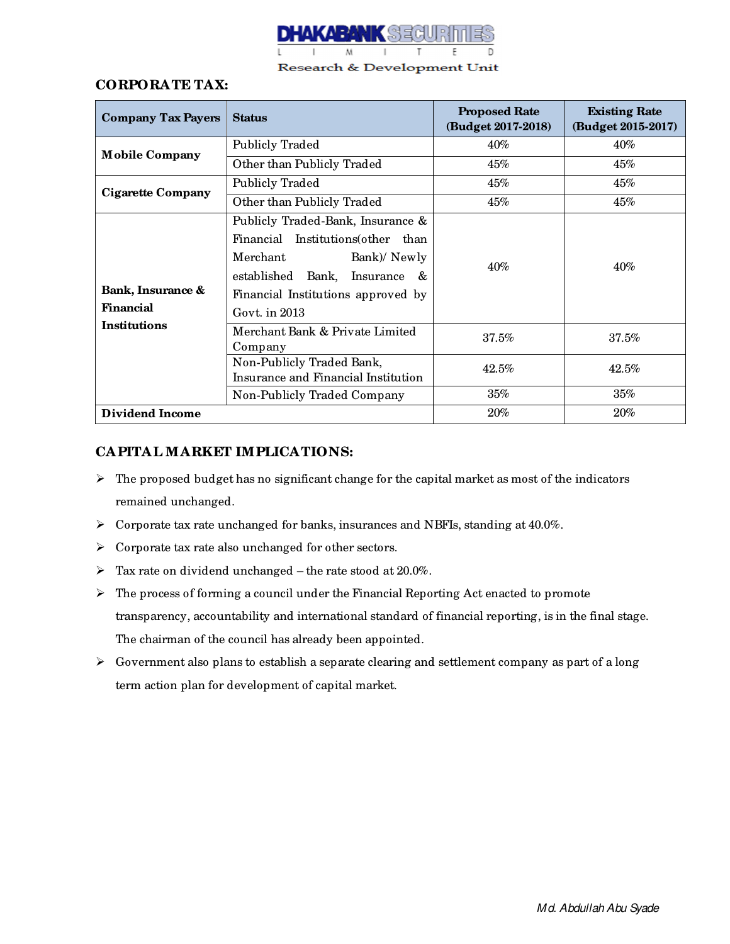

## **CORPORATE TAX:**

| <b>Company Tax Payers</b>   | <b>Status</b>                                                    | <b>Proposed Rate</b><br>(Budget 2017-2018) | <b>Existing Rate</b><br>(Budget 2015-2017) |  |
|-----------------------------|------------------------------------------------------------------|--------------------------------------------|--------------------------------------------|--|
| <b>Mobile Company</b>       | <b>Publicly Traded</b>                                           | $40\%$                                     | $40\%$                                     |  |
|                             | Other than Publicly Traded                                       | 45%                                        | 45%                                        |  |
|                             | <b>Publicly Traded</b>                                           | 45%                                        | 45%                                        |  |
| Cigarette Company           | Other than Publicly Traded                                       | $45\%$                                     | $45\%$                                     |  |
|                             | Publicly Traded-Bank, Insurance &                                |                                            |                                            |  |
|                             | Financial Institutions (other than                               |                                            | 40%                                        |  |
|                             | Merchant<br>Bank)/Newly                                          | 40%                                        |                                            |  |
|                             | established Bank, Insurance<br>$\mathcal{R}_{\mathcal{L}}$       |                                            |                                            |  |
| Bank, Insurance &           | Financial Institutions approved by                               |                                            |                                            |  |
| Financial                   | Govt. in $2013$                                                  |                                            |                                            |  |
| <b>Institutions</b>         | Merchant Bank & Private Limited<br>Company                       | 37.5%                                      | $37.5\%$                                   |  |
|                             | Non-Publicly Traded Bank,<br>Insurance and Financial Institution | 42.5%                                      | 42.5%                                      |  |
| Non-Publicly Traded Company |                                                                  | $35\%$                                     | $35\%$                                     |  |
| <b>Dividend Income</b>      |                                                                  | $20\%$                                     | 20%                                        |  |

## **CAPITAL MARKET IMPLICATIONS:**

- $\triangleright$  The proposed budget has no significant change for the capital market as most of the indicators remained unchanged.
- Corporate tax rate unchanged for banks, insurances and NBFIs, standing at 40.0%.
- $\triangleright$  Corporate tax rate also unchanged for other sectors.
- $\triangleright$  Tax rate on dividend unchanged the rate stood at 20.0%.
- $\triangleright$  The process of forming a council under the Financial Reporting Act enacted to promote transparency, accountability and international standard of financial reporting, is in the final stage. The chairman of the council has already been appointed.
- $\triangleright$  Government also plans to establish a separate clearing and settlement company as part of a long term action plan for development of capital market.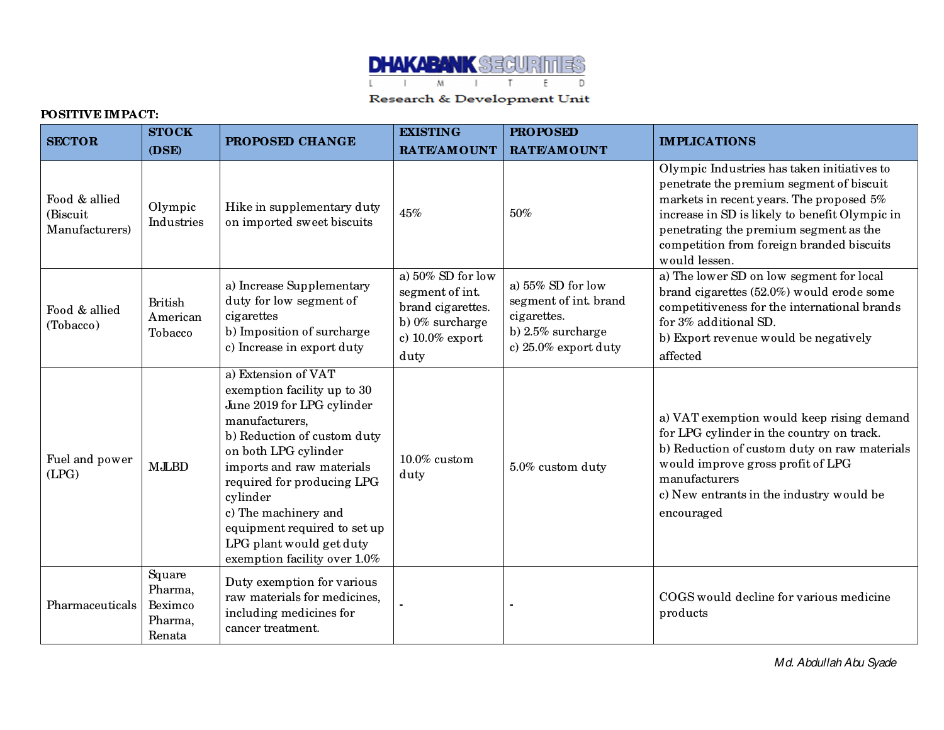

## **POSITIVE IMPACT:**

| <b>SECTOR</b>                               | <b>STOCK</b>                                      | PROPOSED CHANGE                                                                                                                                                                                                                                                                                                                                      | <b>EXISTING</b>                                                                                            | <b>PROPOSED</b>                                                                                              | <b>IMPLICATIONS</b>                                                                                                                                                                                                                                                                           |
|---------------------------------------------|---------------------------------------------------|------------------------------------------------------------------------------------------------------------------------------------------------------------------------------------------------------------------------------------------------------------------------------------------------------------------------------------------------------|------------------------------------------------------------------------------------------------------------|--------------------------------------------------------------------------------------------------------------|-----------------------------------------------------------------------------------------------------------------------------------------------------------------------------------------------------------------------------------------------------------------------------------------------|
|                                             | (DSE)                                             |                                                                                                                                                                                                                                                                                                                                                      | <b>RATE/AMOUNT</b>                                                                                         | <b>RATE/AMOUNT</b>                                                                                           |                                                                                                                                                                                                                                                                                               |
| Food & allied<br>(Biscuit<br>Manufacturers) | Olympic<br>Industries                             | Hike in supplementary duty<br>on imported sweet biscuits                                                                                                                                                                                                                                                                                             | 45%                                                                                                        | 50%                                                                                                          | Olympic Industries has taken initiatives to<br>penetrate the premium segment of biscuit<br>markets in recent years. The proposed 5%<br>increase in SD is likely to benefit Olympic in<br>penetrating the premium segment as the<br>competition from foreign branded biscuits<br>would lessen. |
| Food & allied<br>(Tobacco)                  | <b>British</b><br>American<br>Tobacco             | a) Increase Supplementary<br>duty for low segment of<br>cigarettes<br>b) Imposition of surcharge<br>c) Increase in export duty                                                                                                                                                                                                                       | a) 50% SD for low<br>segment of int.<br>brand cigarettes.<br>b) 0% surcharge<br>c) $10.0\%$ export<br>duty | a) $55\%$ SD for low<br>segment of int. brand<br>cigarettes.<br>b) $2.5\%$ surcharge<br>c) 25.0% export duty | a) The lower SD on low segment for local<br>brand cigarettes (52.0%) would erode some<br>competitiveness for the international brands<br>for 3% additional SD.<br>b) Export revenue would be negatively<br>affected                                                                           |
| Fuel and power<br>(LPG)                     | <b>MJLBD</b>                                      | a) Extension of VAT<br>exemption facility up to 30<br>June 2019 for LPG cylinder<br>manufacturers,<br>b) Reduction of custom duty<br>on both LPG cylinder<br>imports and raw materials<br>required for producing LPG<br>cylinder<br>c) The machinery and<br>equipment required to set up<br>LPG plant would get duty<br>exemption facility over 1.0% | $10.0\%$ custom<br>duty                                                                                    | 5.0% custom duty                                                                                             | a) VAT exemption would keep rising demand<br>for LPG cylinder in the country on track.<br>b) Reduction of custom duty on raw materials<br>would improve gross profit of LPG<br>manufacturers<br>c) New entrants in the industry would be<br>encouraged                                        |
| Pharmaceuticals                             | Square<br>Pharma,<br>Beximco<br>Pharma,<br>Renata | Duty exemption for various<br>raw materials for medicines,<br>including medicines for<br>cancer treatment.                                                                                                                                                                                                                                           |                                                                                                            |                                                                                                              | COGS would decline for various medicine<br>products                                                                                                                                                                                                                                           |

Md. Abdullah Abu Syade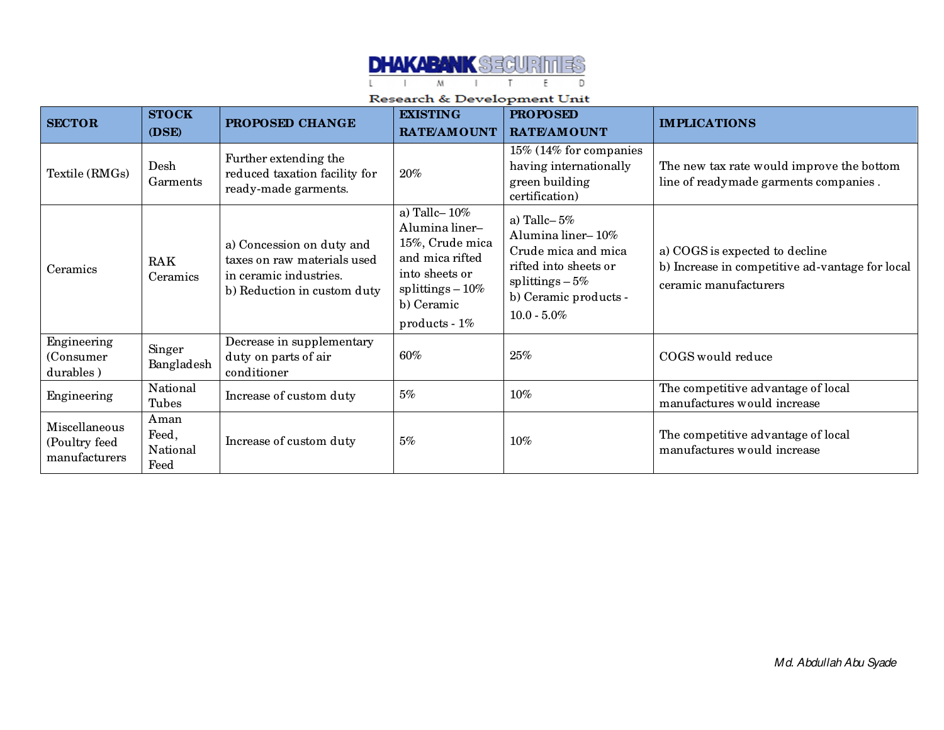

| <b>SECTOR</b>                                   | <b>STOCK</b><br>(DSE)             | PROPOSED CHANGE                                                                                                   | <b>EXISTING</b><br>RATE/AMOUNT                                                                                                                     | <b>PROPOSED</b><br><b>RATE/AMOUNT</b>                                                                                                               | <b>IMPLICATIONS</b>                                                                                        |
|-------------------------------------------------|-----------------------------------|-------------------------------------------------------------------------------------------------------------------|----------------------------------------------------------------------------------------------------------------------------------------------------|-----------------------------------------------------------------------------------------------------------------------------------------------------|------------------------------------------------------------------------------------------------------------|
| Textile (RMGs)                                  | Desh<br>Garments                  | Further extending the<br>reduced taxation facility for<br>ready-made garments.                                    | $20\%$                                                                                                                                             | 15% (14% for companies<br>having internationally<br>green building<br>certification)                                                                | The new tax rate would improve the bottom<br>line of readymade garments companies.                         |
| Ceramics                                        | RAK<br>Ceramics                   | a) Concession on duty and<br>taxes on raw materials used<br>in ceramic industries.<br>b) Reduction in custom duty | a) Tallc $-10\%$<br>Alumina liner-<br>15%, Crude mica<br>and mica rifted<br>into sheets or<br>splittings $-10\%$<br>b) Ceramic<br>$products - 1\%$ | a) Tallc- $5%$<br>Alumina liner-10%<br>Crude mica and mica<br>rifted into sheets or<br>splittings $-5\%$<br>b) Ceramic products -<br>$10.0 - 5.0\%$ | a) COGS is expected to decline<br>b) Increase in competitive ad-vantage for local<br>ceramic manufacturers |
| Engineering<br>(Consumer<br>durables)           | Singer<br>Bangladesh              | Decrease in supplementary<br>duty on parts of air<br>conditioner                                                  | 60%                                                                                                                                                | 25%                                                                                                                                                 | COGS would reduce                                                                                          |
| Engineering                                     | National<br>Tubes                 | Increase of custom duty                                                                                           | 5%                                                                                                                                                 | 10%                                                                                                                                                 | The competitive advantage of local<br>manufactures would increase                                          |
| Miscellaneous<br>(Poultry feed<br>manufacturers | Aman<br>Feed,<br>National<br>Feed | Increase of custom duty                                                                                           | 5%                                                                                                                                                 | 10%                                                                                                                                                 | The competitive advantage of local<br>manufactures would increase                                          |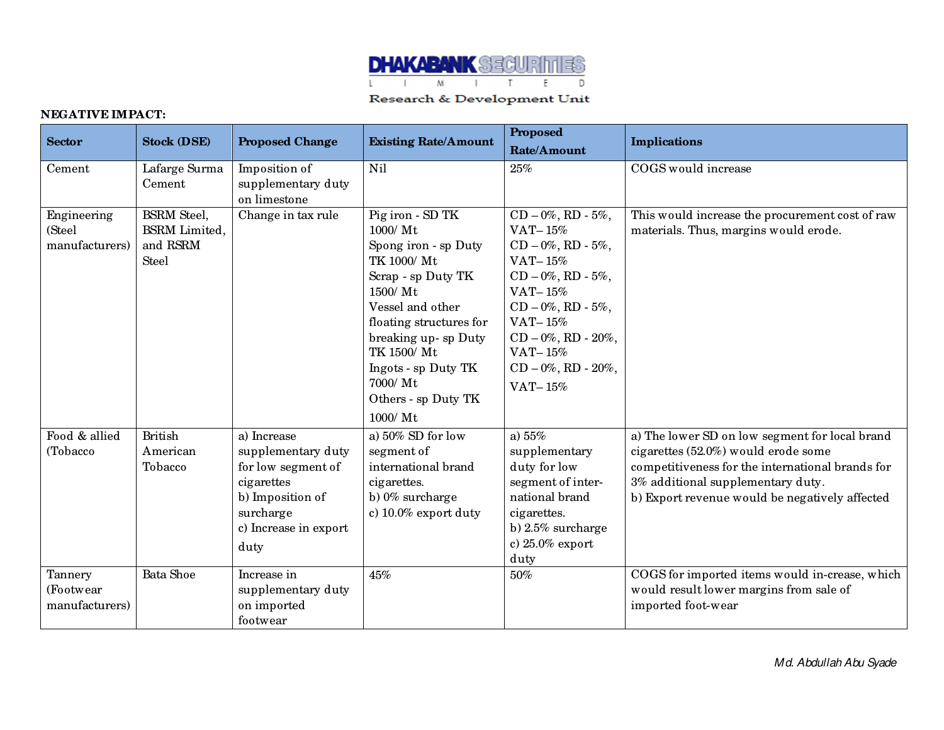

## **NEGATIVE IMPACT:**

| <b>Sector</b>                           | <b>Stock (DSE)</b>                                                     | <b>Proposed Change</b>                                                                                                                  | <b>Existing Rate/Amount</b>                                                                                                                                                                                                                                      | <b>Proposed</b><br>Rate/Amount                                                                                                                                                                                                     | <b>Implications</b>                                                                                                                                                                                                              |
|-----------------------------------------|------------------------------------------------------------------------|-----------------------------------------------------------------------------------------------------------------------------------------|------------------------------------------------------------------------------------------------------------------------------------------------------------------------------------------------------------------------------------------------------------------|------------------------------------------------------------------------------------------------------------------------------------------------------------------------------------------------------------------------------------|----------------------------------------------------------------------------------------------------------------------------------------------------------------------------------------------------------------------------------|
| Cement                                  | Lafarge Surma<br>Cement                                                | Imposition of<br>supplementary duty<br>on limestone                                                                                     | Nil                                                                                                                                                                                                                                                              | 25%                                                                                                                                                                                                                                | COGS would increase                                                                                                                                                                                                              |
| Engineering<br>(Steel<br>manufacturers) | <b>BSRM</b> Steel,<br><b>BSRM</b> Limited,<br>and RSRM<br><b>Steel</b> | Change in tax rule                                                                                                                      | Pig iron - SD TK<br>1000/Mt<br>Spong iron - sp Duty<br>TK 1000/ Mt<br>Scrap - sp Duty TK<br>1500/ Mt<br>Vessel and other<br>floating structures for<br>breaking up- sp Duty<br>TK 1500/ Mt<br>Ingots - sp Duty TK<br>7000/ Mt<br>Others - sp Duty TK<br>1000/ Mt | $CD - 0\%$ , RD - 5%,<br>VAT-15%<br>$CD - 0\%, RD - 5\%,$<br>VAT- $15%$<br>$CD - 0\%, RD - 5\%,$<br>VAT-15%<br>$CD - 0\%, RD - 5\%,$<br>VAT- $15%$<br>$CD - 0\%$ , RD - 20%,<br>VAT- $15%$<br>$CD - 0\%$ , RD - 20%,<br>VAT- $15%$ | This would increase the procurement cost of raw<br>materials. Thus, margins would erode.                                                                                                                                         |
| Food & allied<br>(Tobacco               | <b>British</b><br>American<br>Tobacco                                  | a) Increase<br>supplementary duty<br>for low segment of<br>cigarettes<br>b) Imposition of<br>surcharge<br>c) Increase in export<br>duty | a) $50\%$ SD for low<br>segment of<br>international brand<br>cigarettes.<br>b) 0% surcharge<br>c) $10.0\%$ export duty                                                                                                                                           | a) $55%$<br>supplementary<br>duty for low<br>segment of inter-<br>national brand<br>cigarettes.<br>b) $2.5\%$ surcharge<br>c) 25.0% export<br>duty                                                                                 | a) The lower SD on low segment for local brand<br>cigarettes (52.0%) would erode some<br>competitiveness for the international brands for<br>3% additional supplementary duty.<br>b) Export revenue would be negatively affected |
| Tannery<br>(Footwear<br>manufacturers)  | Bata Shoe                                                              | Increase in<br>supplementary duty<br>on imported<br>footwear                                                                            | 45%                                                                                                                                                                                                                                                              | 50%                                                                                                                                                                                                                                | COGS for imported items would in-crease, which<br>would result lower margins from sale of<br>imported foot-wear                                                                                                                  |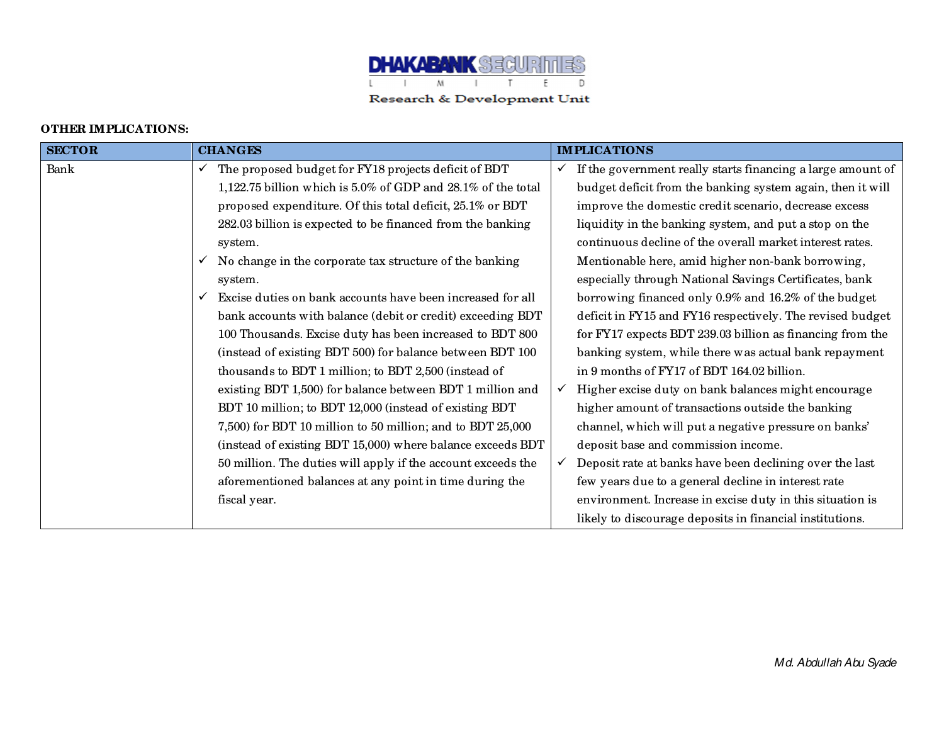

## **OTHER IMPLICATIONS:**

٦

| <b>SECTOR</b> | <b>CHANGES</b>                                                    | <b>IMPLICATIONS</b>                                                 |
|---------------|-------------------------------------------------------------------|---------------------------------------------------------------------|
| Bank          | $\checkmark$ The proposed budget for FY18 projects deficit of BDT | If the government really starts financing a large amount of         |
|               | 1,122.75 billion which is 5.0% of GDP and 28.1% of the total      | budget deficit from the banking system again, then it will          |
|               | proposed expenditure. Of this total deficit, 25.1% or BDT         | improve the domestic credit scenario, decrease excess               |
|               | 282.03 billion is expected to be financed from the banking        | liquidity in the banking system, and put a stop on the              |
|               | system.                                                           | continuous decline of the overall market interest rates.            |
|               | No change in the corporate tax structure of the banking           | Mentionable here, amid higher non-bank borrowing,                   |
|               | system.                                                           | especially through National Savings Certificates, bank              |
|               | Excise duties on bank accounts have been increased for all        | borrowing financed only 0.9% and 16.2% of the budget                |
|               | bank accounts with balance (debit or credit) exceeding BDT        | deficit in FY15 and FY16 respectively. The revised budget           |
|               | 100 Thousands. Excise duty has been increased to BDT 800          | for FY17 expects BDT 239.03 billion as financing from the           |
|               | (instead of existing BDT 500) for balance between BDT 100         | banking system, while there was actual bank repayment               |
|               | thousands to BDT 1 million; to BDT 2,500 (instead of              | in 9 months of FY17 of BDT 164.02 billion.                          |
|               | existing BDT 1,500) for balance between BDT 1 million and         | Higher excise duty on bank balances might encourage<br>$\checkmark$ |
|               | BDT 10 million; to BDT 12,000 (instead of existing BDT            | higher amount of transactions outside the banking                   |
|               | 7,500) for BDT 10 million to 50 million; and to BDT 25,000        | channel, which will put a negative pressure on banks'               |
|               | (instead of existing BDT 15,000) where balance exceeds BDT        | deposit base and commission income.                                 |
|               | 50 million. The duties will apply if the account exceeds the      | Deposit rate at banks have been declining over the last             |
|               | aforementioned balances at any point in time during the           | few years due to a general decline in interest rate                 |
|               | fiscal year.                                                      | environment. Increase in excise duty in this situation is           |
|               |                                                                   | likely to discourage deposits in financial institutions.            |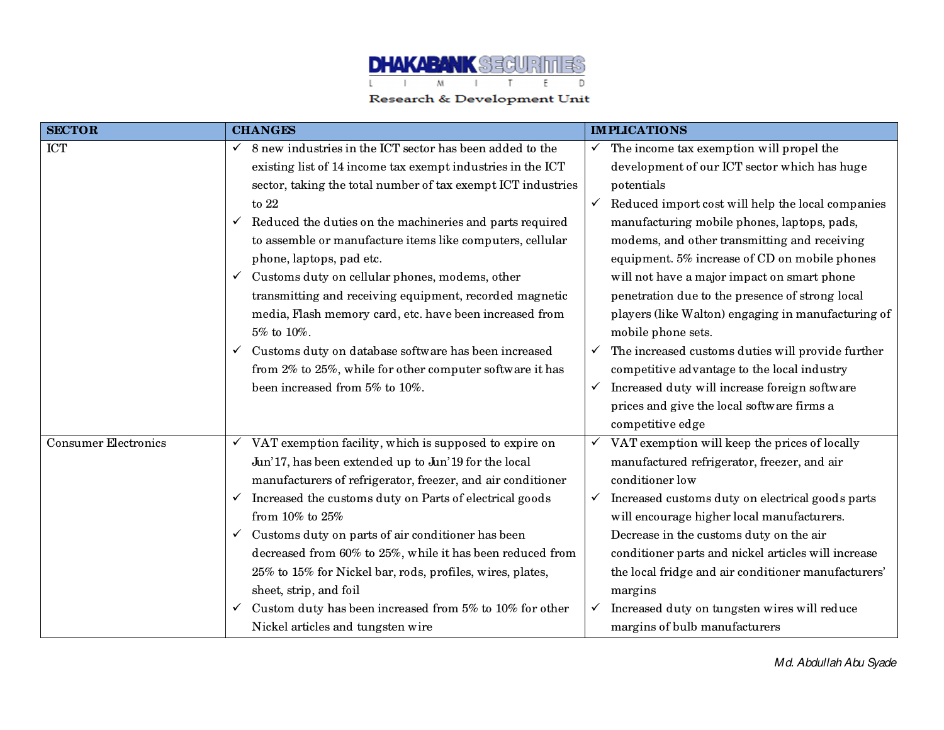

| <b>SECTOR</b>               | <b>CHANGES</b>                                                           | <b>IMPLICATIONS</b>                                               |
|-----------------------------|--------------------------------------------------------------------------|-------------------------------------------------------------------|
| <b>ICT</b>                  | 8 new industries in the ICT sector has been added to the<br>$\checkmark$ | The income tax exemption will propel the<br>✓                     |
|                             | existing list of 14 income tax exempt industries in the ICT              | development of our ICT sector which has huge                      |
|                             | sector, taking the total number of tax exempt ICT industries             | potentials                                                        |
|                             | to $22$                                                                  | Reduced import cost will help the local companies<br>$\checkmark$ |
|                             | Reduced the duties on the machineries and parts required<br>$\checkmark$ | manufacturing mobile phones, laptops, pads,                       |
|                             | to assemble or manufacture items like computers, cellular                | modems, and other transmitting and receiving                      |
|                             | phone, laptops, pad etc.                                                 | equipment. 5% increase of CD on mobile phones                     |
|                             | Customs duty on cellular phones, modems, other                           | will not have a major impact on smart phone                       |
|                             | transmitting and receiving equipment, recorded magnetic                  | penetration due to the presence of strong local                   |
|                             | media, Flash memory card, etc. have been increased from                  | players (like Walton) engaging in manufacturing of                |
|                             | 5% to 10%.                                                               | mobile phone sets.                                                |
|                             | Customs duty on database software has been increased<br>$\checkmark$     | The increased customs duties will provide further<br>$\checkmark$ |
|                             | from 2% to 25%, while for other computer software it has                 | competitive advantage to the local industry                       |
|                             | been increased from 5% to 10%.                                           | Increased duty will increase foreign software<br>$\checkmark$     |
|                             |                                                                          | prices and give the local software firms a                        |
|                             |                                                                          | competitive edge                                                  |
| <b>Consumer Electronics</b> | VAT exemption facility, which is supposed to expire on                   | VAT exemption will keep the prices of locally<br>✓                |
|                             | Jun'17, has been extended up to Jun'19 for the local                     | manufactured refrigerator, freezer, and air                       |
|                             | manufacturers of refrigerator, freezer, and air conditioner              | conditioner low                                                   |
|                             | Increased the customs duty on Parts of electrical goods<br>$\checkmark$  | Increased customs duty on electrical goods parts<br>$\checkmark$  |
|                             | from 10% to 25%                                                          | will encourage higher local manufacturers.                        |
|                             | Customs duty on parts of air conditioner has been<br>$\checkmark$        | Decrease in the customs duty on the air                           |
|                             | decreased from 60% to 25%, while it has been reduced from                | conditioner parts and nickel articles will increase               |
|                             | 25% to 15% for Nickel bar, rods, profiles, wires, plates,                | the local fridge and air conditioner manufacturers'               |
|                             | sheet, strip, and foil                                                   | margins                                                           |
|                             | Custom duty has been increased from 5% to 10% for other<br>$\checkmark$  | Increased duty on tungsten wires will reduce<br>$\checkmark$      |
|                             | Nickel articles and tungsten wire                                        | margins of bulb manufacturers                                     |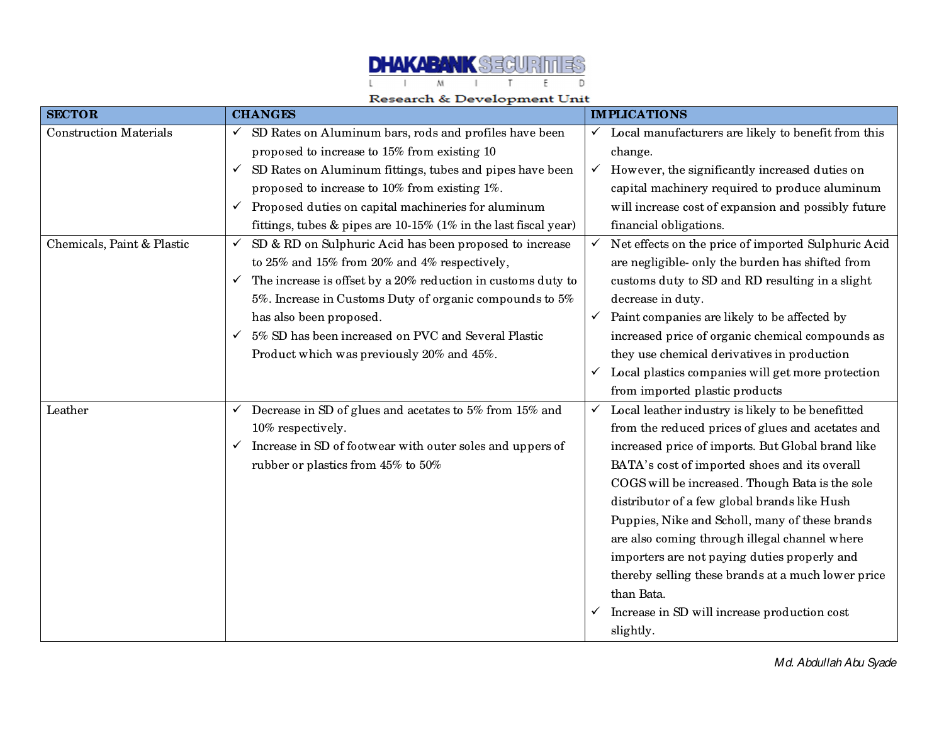

| <b>SECTOR</b>                 | <b>CHANGES</b>                                                               |              | <b>IMPLICATIONS</b>                                 |
|-------------------------------|------------------------------------------------------------------------------|--------------|-----------------------------------------------------|
| <b>Construction Materials</b> | SD Rates on Aluminum bars, rods and profiles have been<br>$\checkmark$       | $\checkmark$ | Local manufacturers are likely to benefit from this |
|                               | proposed to increase to 15% from existing 10                                 |              | change.                                             |
|                               | SD Rates on Aluminum fittings, tubes and pipes have been<br>$\checkmark$     | $\checkmark$ | However, the significantly increased duties on      |
|                               | proposed to increase to 10% from existing 1%.                                |              | capital machinery required to produce aluminum      |
|                               | Proposed duties on capital machineries for aluminum<br>$\checkmark$          |              | will increase cost of expansion and possibly future |
|                               | fittings, tubes $\&$ pipes are 10-15% (1% in the last fiscal year)           |              | financial obligations.                              |
| Chemicals, Paint & Plastic    | SD & RD on Sulphuric Acid has been proposed to increase<br>$\checkmark$      | $\checkmark$ | Net effects on the price of imported Sulphuric Acid |
|                               | to 25% and 15% from 20% and 4% respectively,                                 |              | are negligible- only the burden has shifted from    |
|                               | The increase is offset by a 20% reduction in customs duty to<br>$\checkmark$ |              | customs duty to SD and RD resulting in a slight     |
|                               | 5%. Increase in Customs Duty of organic compounds to 5%                      |              | decrease in duty.                                   |
|                               | has also been proposed.                                                      | $\checkmark$ | Paint companies are likely to be affected by        |
|                               | 5% SD has been increased on PVC and Several Plastic                          |              | increased price of organic chemical compounds as    |
|                               | Product which was previously 20% and 45%.                                    |              | they use chemical derivatives in production         |
|                               |                                                                              | $\checkmark$ | Local plastics companies will get more protection   |
|                               |                                                                              |              | from imported plastic products                      |
| Leather                       | Decrease in SD of glues and acetates to 5% from 15% and                      | $\checkmark$ | Local leather industry is likely to be benefitted   |
|                               | 10% respectively.                                                            |              | from the reduced prices of glues and acetates and   |
|                               | Increase in SD of footwear with outer soles and uppers of<br>$\checkmark$    |              | increased price of imports. But Global brand like   |
|                               | rubber or plastics from 45% to 50%                                           |              | BATA's cost of imported shoes and its overall       |
|                               |                                                                              |              | COGS will be increased. Though Bata is the sole     |
|                               |                                                                              |              | distributor of a few global brands like Hush        |
|                               |                                                                              |              | Puppies, Nike and Scholl, many of these brands      |
|                               |                                                                              |              | are also coming through illegal channel where       |
|                               |                                                                              |              | importers are not paying duties properly and        |
|                               |                                                                              |              | thereby selling these brands at a much lower price  |
|                               |                                                                              |              | than Bata.                                          |
|                               |                                                                              |              | Increase in SD will increase production cost        |
|                               |                                                                              |              | slightly.                                           |